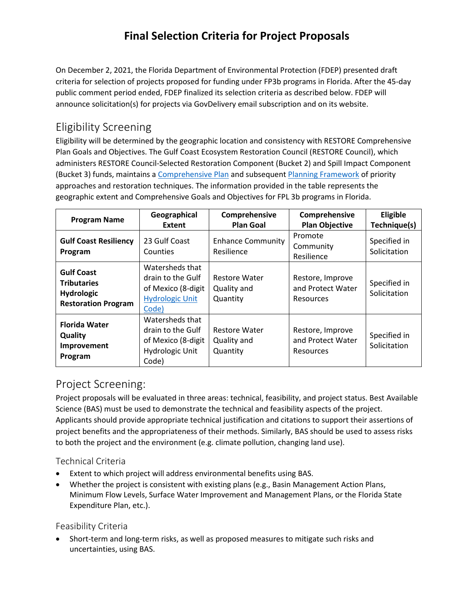# **Final Selection Criteria for Project Proposals**

On December 2, 2021, the Florida Department of Environmental Protection (FDEP) presented draft criteria for selection of projects proposed for funding under FP3b programs in Florida. After the 45-day public comment period ended, FDEP finalized its selection criteria as described below. FDEP will announce solicitation(s) for projects via GovDelivery email subscription and on its website.

### Eligibility Screening

Eligibility will be determined by the geographic location and consistency with RESTORE Comprehensive Plan Goals and Objectives. The Gulf Coast Ecosystem Restoration Council (RESTORE Council), which administers RESTORE Council-Selected Restoration Component (Bucket 2) and Spill Impact Component (Bucket 3) funds, maintains a [Comprehensive Plan](https://www.restorethegulf.gov/sites/default/files/CO-PL_20161208_CompPlanUpdate_English.pdf) and subsequent [Planning Framework](https://www.restorethegulf.gov/sites/default/files/508_PlanningFramework_Final_201908.pdf) of priority approaches and restoration techniques. The information provided in the table represents the geographic extent and Comprehensive Goals and Objectives for FPL 3b programs in Florida.

| <b>Program Name</b>                                                                        | Geographical<br>Extent                                                                        | Comprehensive<br><b>Plan Goal</b>               | Comprehensive<br><b>Plan Objective</b>                    | Eligible<br>Technique(s)     |
|--------------------------------------------------------------------------------------------|-----------------------------------------------------------------------------------------------|-------------------------------------------------|-----------------------------------------------------------|------------------------------|
| <b>Gulf Coast Resiliency</b><br>Program                                                    | 23 Gulf Coast<br>Counties                                                                     | <b>Enhance Community</b><br>Resilience          | Promote<br>Community<br>Resilience                        | Specified in<br>Solicitation |
| <b>Gulf Coast</b><br><b>Tributaries</b><br><b>Hydrologic</b><br><b>Restoration Program</b> | Watersheds that<br>drain to the Gulf<br>of Mexico (8-digit<br><b>Hydrologic Unit</b><br>Code) | <b>Restore Water</b><br>Quality and<br>Quantity | Restore, Improve<br>and Protect Water<br><b>Resources</b> | Specified in<br>Solicitation |
| <b>Florida Water</b><br>Quality<br>Improvement<br>Program                                  | Watersheds that<br>drain to the Gulf<br>of Mexico (8-digit<br>Hydrologic Unit<br>Code)        | <b>Restore Water</b><br>Quality and<br>Quantity | Restore, Improve<br>and Protect Water<br><b>Resources</b> | Specified in<br>Solicitation |

## Project Screening:

Project proposals will be evaluated in three areas: technical, feasibility, and project status. Best Available Science (BAS) must be used to demonstrate the technical and feasibility aspects of the project. Applicants should provide appropriate technical justification and citations to support their assertions of project benefits and the appropriateness of their methods. Similarly, BAS should be used to assess risks to both the project and the environment (e.g. climate pollution, changing land use).

#### Technical Criteria

- Extent to which project will address environmental benefits using BAS.
- Whether the project is consistent with existing plans (e.g., Basin Management Action Plans, Minimum Flow Levels, Surface Water Improvement and Management Plans, or the Florida State Expenditure Plan, etc.).

#### Feasibility Criteria

• Short-term and long-term risks, as well as proposed measures to mitigate such risks and uncertainties, using BAS.